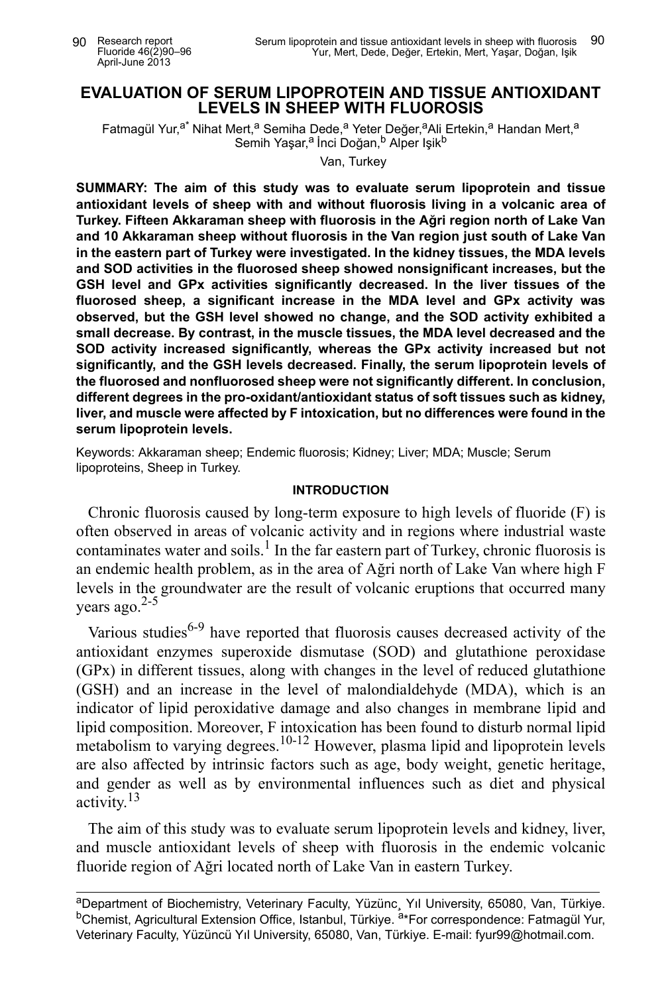# **EVALUATION OF SERUM LIPOPROTEIN AND TISSUE ANTIOXIDANT LEVELS IN SHEEP WITH FLUOROSIS**

Fatmagül Yur,<sup>a\*</sup> Nihat Mert,<sup>a</sup> Semiha Dede,<sup>a</sup> Yeter Değer,<sup>a</sup>Ali Ertekin,<sup>a</sup> Handan Mert,<sup>a</sup> Semih Yaşar,<sup>a</sup> İnci Doğan,<sup>b</sup> Alper Işik<sup>b</sup>

Van, Turkey

**SUMMARY: The aim of this study was to evaluate serum lipoprotein and tissue antioxidant levels of sheep with and without fluorosis living in a volcanic area of Turkey. Fifteen Akkaraman sheep with fluorosis in the Ağri region north of Lake Van and 10 Akkaraman sheep without fluorosis in the Van region just south of Lake Van in the eastern part of Turkey were investigated. In the kidney tissues, the MDA levels and SOD activities in the fluorosed sheep showed nonsignificant increases, but the GSH level and GPx activities significantly decreased. In the liver tissues of the fluorosed sheep, a significant increase in the MDA level and GPx activity was observed, but the GSH level showed no change, and the SOD activity exhibited a small decrease. By contrast, in the muscle tissues, the MDA level decreased and the SOD activity increased significantly, whereas the GPx activity increased but not significantly, and the GSH levels decreased. Finally, the serum lipoprotein levels of the fluorosed and nonfluorosed sheep were not significantly different. In conclusion, different degrees in the pro-oxidant/antioxidant status of soft tissues such as kidney, liver, and muscle were affected by F intoxication, but no differences were found in the serum lipoprotein levels.** 

Keywords: Akkaraman sheep; Endemic fluorosis; Kidney; Liver; MDA; Muscle; Serum lipoproteins, Sheep in Turkey.

### **INTRODUCTION**

Chronic fluorosis caused by long-term exposure to high levels of fluoride (F) is often observed in areas of volcanic activity and in regions where industrial waste contaminates water and soils.<sup>1</sup> In the far eastern part of Turkey, chronic fluorosis is an endemic health problem, as in the area of Ağri north of Lake Van where high F levels in the groundwater are the result of volcanic eruptions that occurred many vears ago. $2-5$ 

Various studies<sup>6-9</sup> have reported that fluorosis causes decreased activity of the antioxidant enzymes superoxide dismutase (SOD) and glutathione peroxidase (GPx) in different tissues, along with changes in the level of reduced glutathione (GSH) and an increase in the level of malondialdehyde (MDA), which is an indicator of lipid peroxidative damage and also changes in membrane lipid and lipid composition. Moreover, F intoxication has been found to disturb normal lipid metabolism to varying degrees.<sup>10-12</sup> However, plasma lipid and lipoprotein levels are also affected by intrinsic factors such as age, body weight, genetic heritage, and gender as well as by environmental influences such as diet and physical activity.13

The aim of this study was to evaluate serum lipoprotein levels and kidney, liver, and muscle antioxidant levels of sheep with fluorosis in the endemic volcanic fluoride region of Ağri located north of Lake Van in eastern Turkey.

aDepartment of Biochemistry, Veterinary Faculty, Yüzünc, Yıl University, 65080, Van, Türkiye. <sup>b</sup>Chemist, Agricultural Extension Office, Istanbul, Türkiye. <sup>a\*</sup>For correspondence: Fatmagül Yur, Veterinary Faculty, Yüzüncü Yıl University, 65080, Van, Türkiye. E-mail: fyur99@hotmail.com.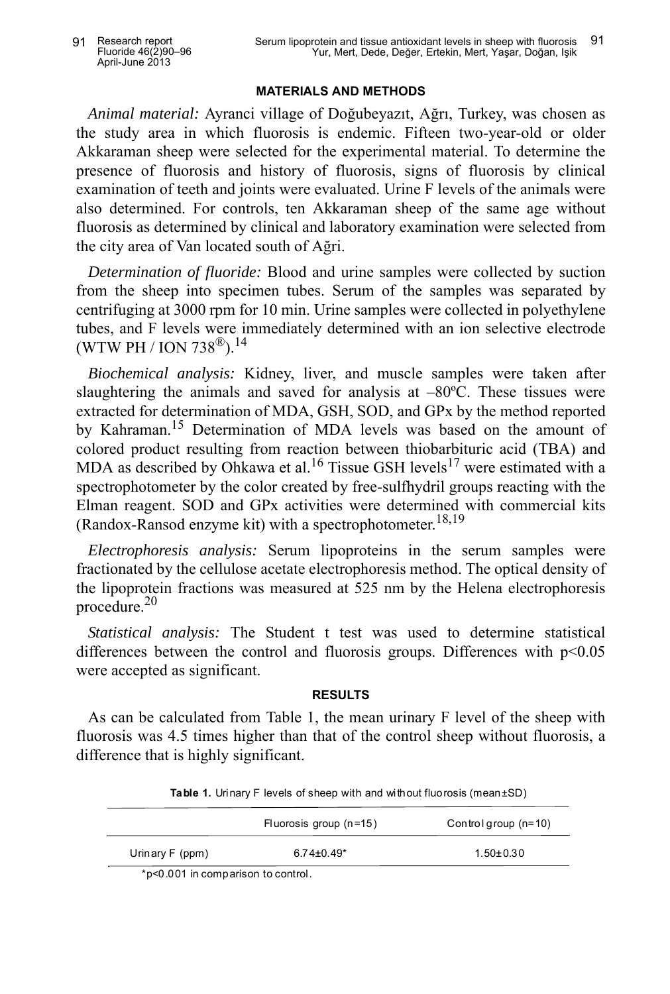### **MATERIALS AND METHODS**

*Animal material:* Ayranci village of Doğubeyazıt, Ağrı, Turkey, was chosen as the study area in which fluorosis is endemic. Fifteen two-year-old or older Akkaraman sheep were selected for the experimental material. To determine the presence of fluorosis and history of fluorosis, signs of fluorosis by clinical examination of teeth and joints were evaluated. Urine F levels of the animals were also determined. For controls, ten Akkaraman sheep of the same age without fluorosis as determined by clinical and laboratory examination were selected from the city area of Van located south of Ağri.

*Determination of fluoride:* Blood and urine samples were collected by suction from the sheep into specimen tubes. Serum of the samples was separated by centrifuging at 3000 rpm for 10 min. Urine samples were collected in polyethylene tubes, and F levels were immediately determined with an ion selective electrode (WTW PH / ION 738<sup>®</sup>).<sup>14</sup>

*Biochemical analysis:* Kidney, liver, and muscle samples were taken after slaughtering the animals and saved for analysis at  $-80^{\circ}$ C. These tissues were extracted for determination of MDA, GSH, SOD, and GPx by the method reported by Kahraman.<sup>15</sup> Determination of MDA levels was based on the amount of colored product resulting from reaction between thiobarbituric acid (TBA) and MDA as described by Ohkawa et al.<sup>16</sup> Tissue GSH levels<sup>17</sup> were estimated with a spectrophotometer by the color created by free-sulfhydril groups reacting with the Elman reagent. SOD and GPx activities were determined with commercial kits (Randox-Ransod enzyme kit) with a spectrophotometer.<sup>18,19</sup>

*Electrophoresis analysis:* Serum lipoproteins in the serum samples were fractionated by the cellulose acetate electrophoresis method. The optical density of the lipoprotein fractions was measured at 525 nm by the Helena electrophoresis procedure.<sup>20</sup>

*Statistical analysis:* The Student t test was used to determine statistical differences between the control and fluorosis groups. Differences with  $p<0.05$ were accepted as significant.

## **RESULTS**

As can be calculated from Table 1, the mean urinary F level of the sheep with fluorosis was 4.5 times higher than that of the control sheep without fluorosis, a difference that is highly significant.

|                 | Fluorosis group $(n=15)$ | Control group (n=10) |
|-----------------|--------------------------|----------------------|
| Urinary F (ppm) | $6.74 \pm 0.49^*$        | $1.50 \pm 0.30$      |

**Table 1.** Urinary F levels of sheep with and without fluorosis (mean±SD)

\*p<0.001 in comparison to control.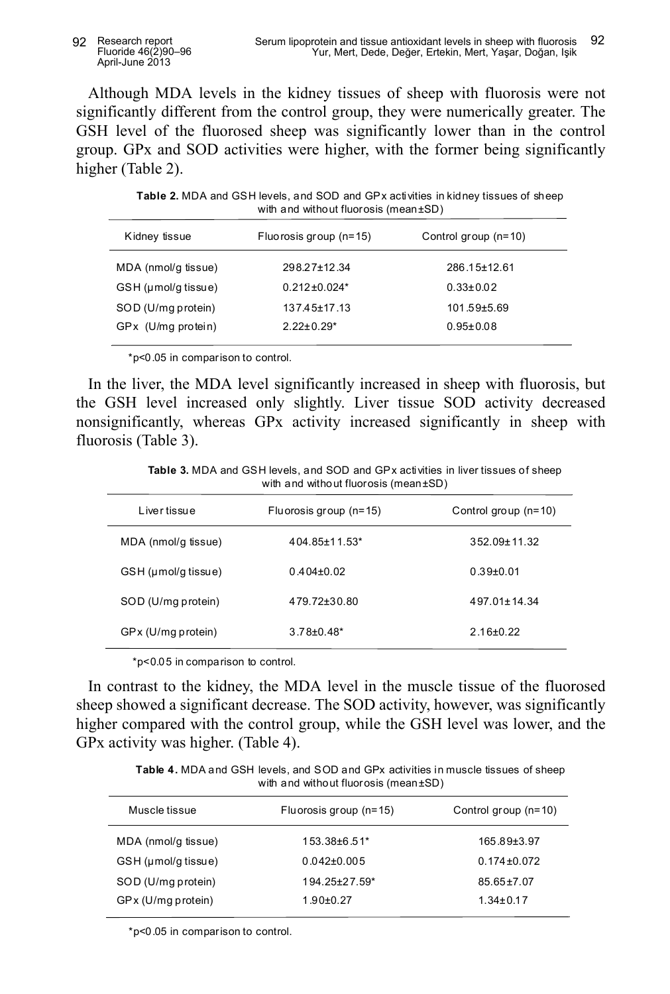Although MDA levels in the kidney tissues of sheep with fluorosis were not significantly different from the control group, they were numerically greater. The GSH level of the fluorosed sheep was significantly lower than in the control group. GPx and SOD activities were higher, with the former being significantly higher (Table 2).

**Table 2.** MDA and GSH levels, and SOD and GPx activities in kidney tissues of sheep with and without fluorosis (mean±SD)

| Kidney tissue       | Fluorosis group $(n=15)$ | Control group (n=10) |
|---------------------|--------------------------|----------------------|
| MDA (nmol/g tissue) | 298.27±12.34             | 286.15±12.61         |
| GSH (µmol/q tissue) | $0.212 \pm 0.024*$       | $0.33 \pm 0.02$      |
| SOD (U/mg protein)  | $137.45 \pm 17.13$       | $101.59 \pm 5.69$    |
| GPx (U/mg protein)  | $2.22 \pm 0.29^*$        | $0.95 \pm 0.08$      |

\*p<0.05 in comparison to control.

In the liver, the MDA level significantly increased in sheep with fluorosis, but the GSH level increased only slightly. Liver tissue SOD activity decreased nonsignificantly, whereas GPx activity increased significantly in sheep with fluorosis (Table 3).

**Table 3.** MDA and GSH levels, and SOD and GPx activities in liver tissues of sheep with and without fluorosis (mean±SD)

| Livertissue         | Fluorosis group (n=15) | Control group $(n=10)$ |
|---------------------|------------------------|------------------------|
| MDA (nmol/g tissue) | 404.85±11.53*          | 352.09±11.32           |
| GSH (µmol/g tissue) | $0.404\pm0.02$         | $0.39 + 0.01$          |
| SOD (U/mg protein)  | 479.72±30.80           | 497 01 + 14 34         |
| GPx (U/mg protein)  | $3.78 \pm 0.48^*$      | $2.16 \pm 0.22$        |
|                     |                        |                        |

\*p<0.05 in comparison to control.

In contrast to the kidney, the MDA level in the muscle tissue of the fluorosed sheep showed a significant decrease. The SOD activity, however, was significantly higher compared with the control group, while the GSH level was lower, and the GPx activity was higher. (Table 4).

**Table 4.** MDA and GSH levels, and SOD and GPx activities in muscle tissues of sheep with and without fluorosis (mean±SD)

| Muscle tissue       | Fluorosis group (n=15) | Control group (n=10) |
|---------------------|------------------------|----------------------|
| MDA (nmol/g tissue) | 153.38±6.51*           | 165.89±3.97          |
| GSH (µmol/q tissue) | $0.042\pm0.005$        | $0.174 \pm 0.072$    |
| SOD (U/mg protein)  | 194.25±27.59*          | $85.65 \pm 7.07$     |
| GP x (U/mg protein) | $1.90 + 0.27$          | $1.34 \pm 0.17$      |
|                     |                        |                      |

\*p<0.05 in comparison to control.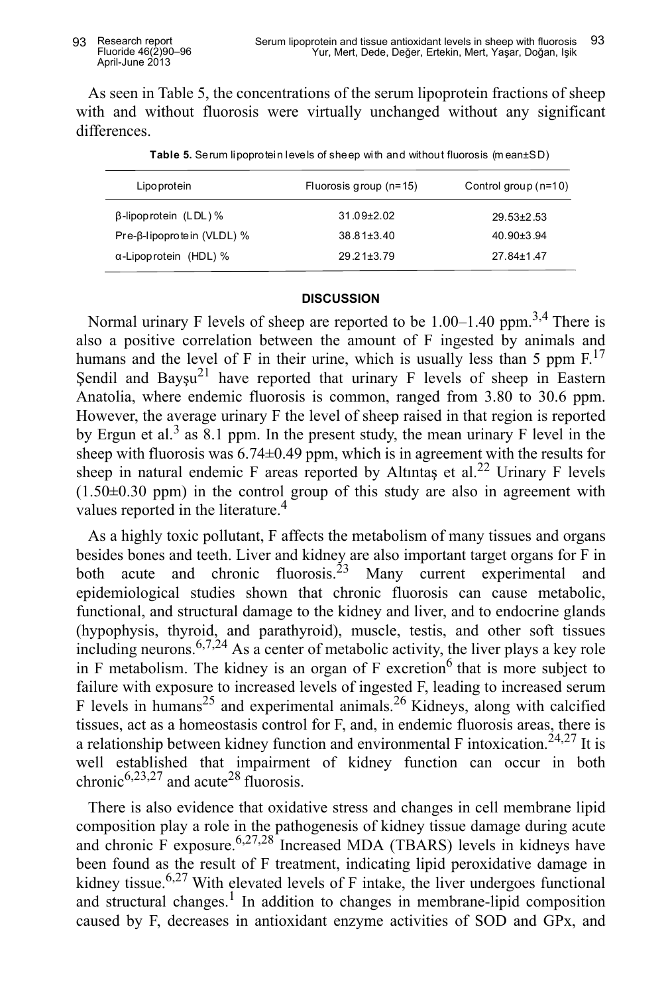As seen in Table 5, the concentrations of the serum lipoprotein fractions of sheep with and without fluorosis were virtually unchanged without any significant differences.

| Lipo protein                  | Fluorosis group $(n=15)$ | Control group $(n=10)$ |
|-------------------------------|--------------------------|------------------------|
| $\beta$ -lipop rotein (LDL) % | $31.09 \pm 2.02$         | $29.53 \pm 2.53$       |
| Pre-β-lipoprotein (VLDL) %    | $38.81 \pm 3.40$         | $40.90 \pm 3.94$       |
| $\alpha$ -Lipoprotein (HDL) % | $29.21 \pm 3.79$         | 27 84+1 47             |

**Table 5.** Serum lipoprotein levels of sheep with and without fluorosis (m ean±SD)

### **DISCUSSION**

Normal urinary F levels of sheep are reported to be  $1.00-1.40$  ppm.<sup>3,4</sup> There is also a positive correlation between the amount of F ingested by animals and humans and the level of F in their urine, which is usually less than 5 ppm  $F^{17}$ . Şendil and Bayşu<sup>21</sup> have reported that urinary F levels of sheep in Eastern Anatolia, where endemic fluorosis is common, ranged from 3.80 to 30.6 ppm. However, the average urinary F the level of sheep raised in that region is reported by Ergun et al.<sup>3</sup> as 8.1 ppm. In the present study, the mean urinary F level in the sheep with fluorosis was 6.74±0.49 ppm, which is in agreement with the results for sheep in natural endemic F areas reported by Altıntaş et al.<sup>22</sup> Urinary F levels  $(1.50\pm0.30$  ppm) in the control group of this study are also in agreement with values reported in the literature.<sup>4</sup>

As a highly toxic pollutant, F affects the metabolism of many tissues and organs besides bones and teeth. Liver and kidney are also important target organs for F in both acute and chronic fluorosis.<sup>23</sup> Many current experimental and epidemiological studies shown that chronic fluorosis can cause metabolic, functional, and structural damage to the kidney and liver, and to endocrine glands (hypophysis, thyroid, and parathyroid), muscle, testis, and other soft tissues including neurons.  $6,7,24$  As a center of metabolic activity, the liver plays a key role in F metabolism. The kidney is an organ of  $F$  excretion<sup>6</sup> that is more subject to failure with exposure to increased levels of ingested F, leading to increased serum F levels in humans<sup>25</sup> and experimental animals.<sup>26</sup> Kidneys, along with calcified tissues, act as a homeostasis control for F, and, in endemic fluorosis areas, there is a relationship between kidney function and environmental F intoxication.<sup>24,27</sup> It is well established that impairment of kidney function can occur in both chronic<sup>6,23,27</sup> and acute<sup>28</sup> fluorosis.

There is also evidence that oxidative stress and changes in cell membrane lipid composition play a role in the pathogenesis of kidney tissue damage during acute and chronic F exposure.  $6,27,28$  Increased MDA (TBARS) levels in kidneys have been found as the result of F treatment, indicating lipid peroxidative damage in kidney tissue.<sup>6,27</sup> With elevated levels of F intake, the liver undergoes functional and structural changes.<sup>1</sup> In addition to changes in membrane-lipid composition caused by F, decreases in antioxidant enzyme activities of SOD and GPx, and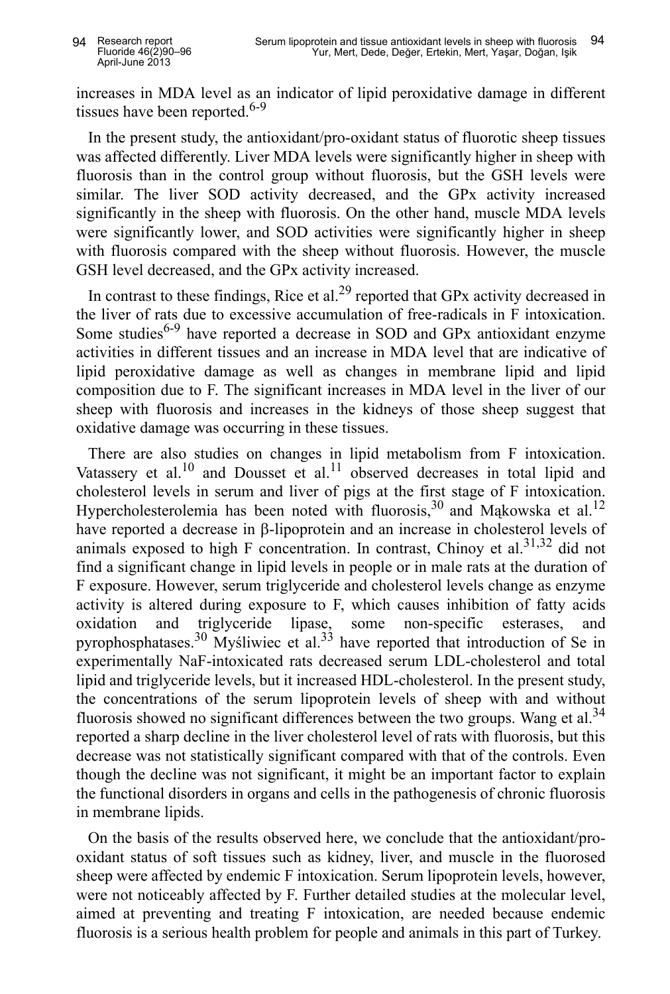increases in MDA level as an indicator of lipid peroxidative damage in different tissues have been reported.<sup>6-9</sup>

In the present study, the antioxidant/pro-oxidant status of fluorotic sheep tissues was affected differently. Liver MDA levels were significantly higher in sheep with fluorosis than in the control group without fluorosis, but the GSH levels were similar. The liver SOD activity decreased, and the GPx activity increased significantly in the sheep with fluorosis. On the other hand, muscle MDA levels were significantly lower, and SOD activities were significantly higher in sheep with fluorosis compared with the sheep without fluorosis. However, the muscle GSH level decreased, and the GPx activity increased.

In contrast to these findings, Rice et al.<sup>29</sup> reported that GPx activity decreased in the liver of rats due to excessive accumulation of free-radicals in F intoxication. Some studies<sup>6-9</sup> have reported a decrease in SOD and GPx antioxidant enzyme activities in different tissues and an increase in MDA level that are indicative of lipid peroxidative damage as well as changes in membrane lipid and lipid composition due to F. The significant increases in MDA level in the liver of our sheep with fluorosis and increases in the kidneys of those sheep suggest that oxidative damage was occurring in these tissues.

There are also studies on changes in lipid metabolism from F intoxication. Vatassery et al.<sup>10</sup> and Dousset et al.<sup>11</sup> observed decreases in total lipid and cholesterol levels in serum and liver of pigs at the first stage of F intoxication. Hypercholesterolemia has been noted with fluorosis,  $30$  and Mąkowska et al.<sup>12</sup> have reported a decrease in β-lipoprotein and an increase in cholesterol levels of animals exposed to high F concentration. In contrast, Chinoy et al.  $31,32$  did not find a significant change in lipid levels in people or in male rats at the duration of F exposure. However, serum triglyceride and cholesterol levels change as enzyme activity is altered during exposure to F, which causes inhibition of fatty acids oxidation and triglyceride lipase, some non-specific esterases, and pyrophosphatases.<sup>30</sup> Myśliwiec et al.<sup>33</sup> have reported that introduction of Se in experimentally NaF-intoxicated rats decreased serum LDL-cholesterol and total lipid and triglyceride levels, but it increased HDL-cholesterol. In the present study, the concentrations of the serum lipoprotein levels of sheep with and without fluorosis showed no significant differences between the two groups. Wang et al.<sup>34</sup> reported a sharp decline in the liver cholesterol level of rats with fluorosis, but this decrease was not statistically significant compared with that of the controls. Even though the decline was not significant, it might be an important factor to explain the functional disorders in organs and cells in the pathogenesis of chronic fluorosis in membrane lipids.

On the basis of the results observed here, we conclude that the antioxidant/prooxidant status of soft tissues such as kidney, liver, and muscle in the fluorosed sheep were affected by endemic F intoxication. Serum lipoprotein levels, however, were not noticeably affected by F. Further detailed studies at the molecular level, aimed at preventing and treating F intoxication, are needed because endemic fluorosis is a serious health problem for people and animals in this part of Turkey.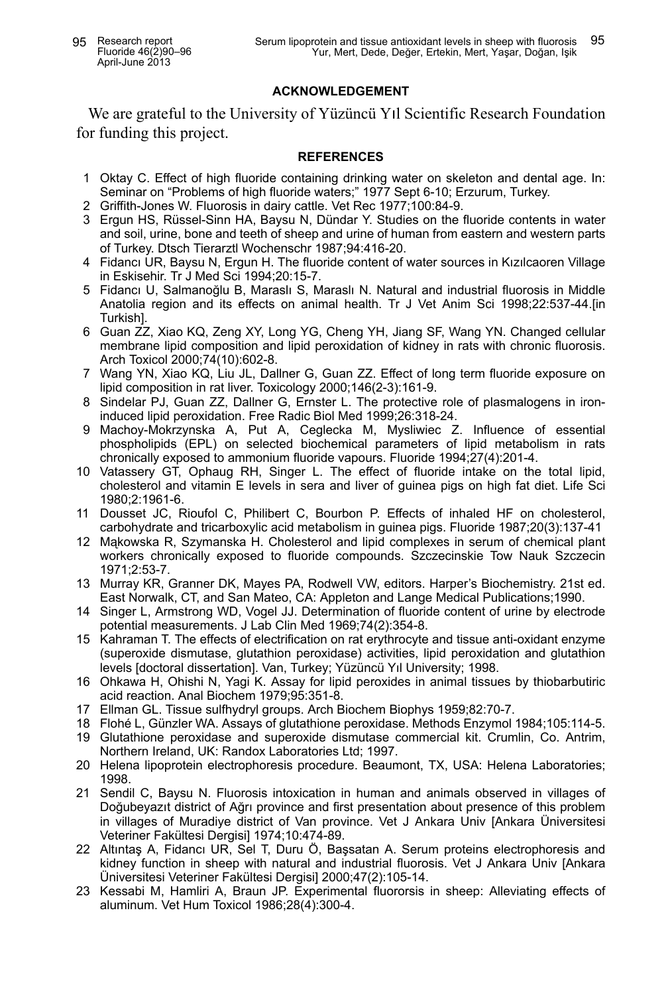### **ACKNOWLEDGEMENT**

We are grateful to the University of Yüzüncü Yıl Scientific Research Foundation for funding this project.

#### **REFERENCES**

- 1 Oktay C. Effect of high fluoride containing drinking water on skeleton and dental age. In: Seminar on "Problems of high fluoride waters;" 1977 Sept 6-10; Erzurum, Turkey.
- 2 Griffith-Jones W. Fluorosis in dairy cattle. Vet Rec 1977;100:84-9.
- 3 Ergun HS, Rüssel-Sinn HA, Baysu N, Dündar Y. Studies on the fluoride contents in water and soil, urine, bone and teeth of sheep and urine of human from eastern and western parts of Turkey. Dtsch Tierarztl Wochenschr 1987;94:416-20.
- 4 Fidancı UR, Baysu N, Ergun H. The fluoride content of water sources in Kızılcaoren Village in Eskisehir. Tr J Med Sci 1994;20:15-7.
- 5 Fidancı U, Salmanoğlu B, Maraslı S, Maraslı N. Natural and industrial fluorosis in Middle Anatolia region and its effects on animal health. Tr J Vet Anim Sci 1998;22:537-44.[in Turkish].
- 6 Guan ZZ, Xiao KQ, Zeng XY, Long YG, Cheng YH, Jiang SF, Wang YN. Changed cellular membrane lipid composition and lipid peroxidation of kidney in rats with chronic fluorosis. Arch Toxicol 2000;74(10):602-8.
- 7 Wang YN, Xiao KQ, Liu JL, Dallner G, Guan ZZ. Effect of long term fluoride exposure on lipid composition in rat liver. Toxicology 2000;146(2-3):161-9.
- 8 Sindelar PJ, Guan ZZ, Dallner G, Ernster L. The protective role of plasmalogens in ironinduced lipid peroxidation. Free Radic Biol Med 1999;26:318-24.
- 9 Machoy-Mokrzynska A, Put A, Ceglecka M, Mysliwiec Z. Influence of essential phospholipids (EPL) on selected biochemical parameters of lipid metabolism in rats chronically exposed to ammonium fluoride vapours. Fluoride 1994;27(4):201-4.
- 10 Vatassery GT, Ophaug RH, Singer L. The effect of fluoride intake on the total lipid, cholesterol and vitamin E levels in sera and liver of guinea pigs on high fat diet. Life Sci 1980;2:1961-6.
- 11 Dousset JC, Rioufol C, Philibert C, Bourbon P. Effects of inhaled HF on cholesterol, carbohydrate and tricarboxylic acid metabolism in guinea pigs. Fluoride 1987;20(3):137-41
- 12 Mąkowska R, Szymanska H. Cholesterol and lipid complexes in serum of chemical plant workers chronically exposed to fluoride compounds. Szczecinskie Tow Nauk Szczecin 1971;2:53-7.
- 13 Murray KR, Granner DK, Mayes PA, Rodwell VW, editors. Harper's Biochemistry. 21st ed. East Norwalk, CT, and San Mateo, CA: Appleton and Lange Medical Publications;1990.
- 14 Singer L, Armstrong WD, Vogel JJ. Determination of fluoride content of urine by electrode potential measurements. J Lab Clin Med 1969;74(2):354-8.
- 15 Kahraman T. The effects of electrification on rat erythrocyte and tissue anti-oxidant enzyme (superoxide dismutase, glutathion peroxidase) activities, lipid peroxidation and glutathion levels [doctoral dissertation]. Van, Turkey; Yüzüncü Yıl University; 1998.
- 16 Ohkawa H, Ohishi N, Yagi K. Assay for lipid peroxides in animal tissues by thiobarbutiric acid reaction. Anal Biochem 1979;95:351-8.
- 17 Ellman GL. Tissue sulfhydryl groups. Arch Biochem Biophys 1959;82:70-7.
- 18 Flohé L, Günzler WA. Assays of glutathione peroxidase. Methods Enzymol 1984;105:114-5.
- 19 Glutathione peroxidase and superoxide dismutase commercial kit. Crumlin, Co. Antrim, Northern Ireland, UK: Randox Laboratories Ltd; 1997.
- 20 Helena lipoprotein electrophoresis procedure. Beaumont, TX, USA: Helena Laboratories; 1998.
- 21 Sendil C, Baysu N. Fluorosis intoxication in human and animals observed in villages of Doğubeyazıt district of Ağrı province and first presentation about presence of this problem in villages of Muradiye district of Van province. Vet J Ankara Univ [Ankara Üniversitesi Veteriner Fakültesi Dergisi] 1974;10:474-89.
- 22 Altıntaş A, Fidancı UR, Sel T, Duru Ö, Başsatan A. Serum proteins electrophoresis and kidney function in sheep with natural and industrial fluorosis. Vet J Ankara Univ [Ankara Üniversitesi Veteriner Fakültesi Dergisi] 2000;47(2):105-14.
- 23 Kessabi M, Hamliri A, Braun JP. Experimental fluororsis in sheep: Alleviating effects of aluminum. Vet Hum Toxicol 1986;28(4):300-4.